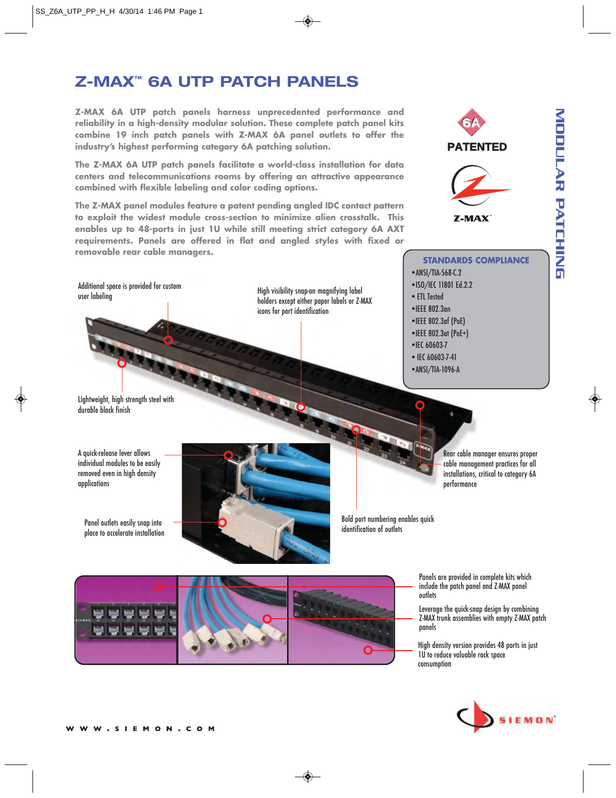# **Z-MAX™ 6A UTP PATCH PANELS**

**Z-MAX 6A UTP patch panels harness unprecedented performance and reliability in a high-density modular solution. These complete patch panel kits combine 19 inch patch panels with Z-MAX 6A panel outlets to offer the industry's highest performing category 6A patching solution.**

**The Z-MAX 6A UTP patch panels facilitate a world-class installation for data centers and telecommunications rooms by offering an attractive appearance combined with flexible labeling and color coding options.** 

**The Z-MAX panel modules feature a patent pending angled IDC contact pattern to exploit the widest module cross-section to minimize alien crosstalk. This enables up to 48-ports in just 1U while still meeting strict category 6A AXT requirements. Panels are offered in flat and angled styles with fixed or removable rear cable managers.**

Additional space is provided for custom user labeling

High visibility snap-on magnifying label holders except either paper labels or Z-MAX icons for port identification

Lightweight, high strength steel with durable black finish

A quick-release lever allows individual modules to be easily removed even in high density applications

Panel outlets easily snap into place to accelerate installation



Bold port numbering enables quick identification of outlets





**STANDARDS COMPLIANCE** • ANSI/TIA-568-C.2 • ISO/IEC 11801 Ed.2.2 • ETL Tested • IEEE 802.3an • IEEE 802.3af (PoE) • IEEE 802.3at (PoE+) • IEC 60603-7 • IEC 60603-7-41 • ANSI/TIA-1096-A

> Rear cable manager ensures proper cable management practices for all installations, critical to category 6A performance

Panels are provided in complete kits which

include the patch panel and Z-MAX panel **outlets** 

Leverage the quick-snap design by combining Z-MAX trunk assemblies with empty Z-MAX patch panels

High density version provides 48 ports in just 1U to reduce valuable rack space consumption